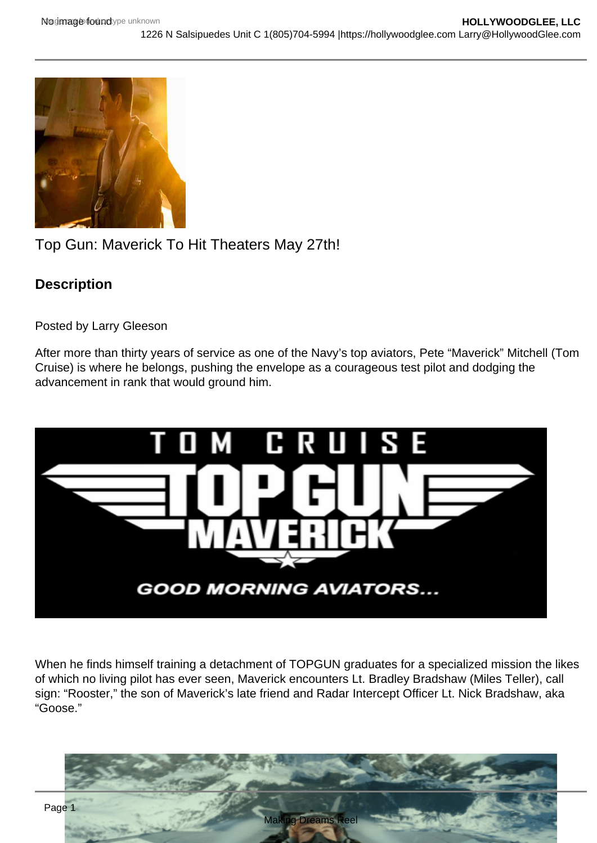# Top Gun: Maverick To Hit Theaters May 27th!

**Description** 

Posted by Larry Gleeson

After more than thirty years of service as one of the Navy's top aviators, Pete "Maverick" Mitchell (Tom Cruise) is where he belongs, pushing the envelope as a courageous test pilot and dodging the advancement in rank that would ground him.

When he finds himself training a detachment of TOPGUN graduates for a specialized mission the likes of which no living pilot has ever seen, Maverick encounters Lt. Bradley Bradshaw (Miles Teller), call sign: "Rooster," the son of Maverick's late friend and Radar Intercept Officer Lt. Nick Bradshaw, aka "Goose."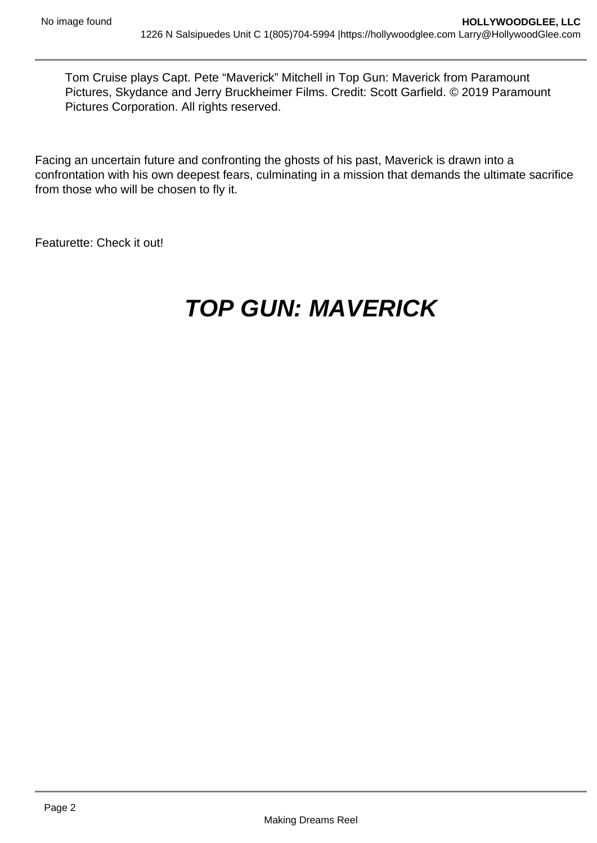Tom Cruise plays Capt. Pete "Maverick" Mitchell in Top Gun: Maverick from Paramount Pictures, Skydance and Jerry Bruckheimer Films. Credit: Scott Garfield. © 2019 Paramount Pictures Corporation. All rights reserved.

Facing an uncertain future and confronting the ghosts of his past, Maverick is drawn into a confrontation with his own deepest fears, culminating in a mission that demands the ultimate sacrifice from those who will be chosen to fly it.

Featurette: Check it out!

# **TOP GUN: MAVERICK**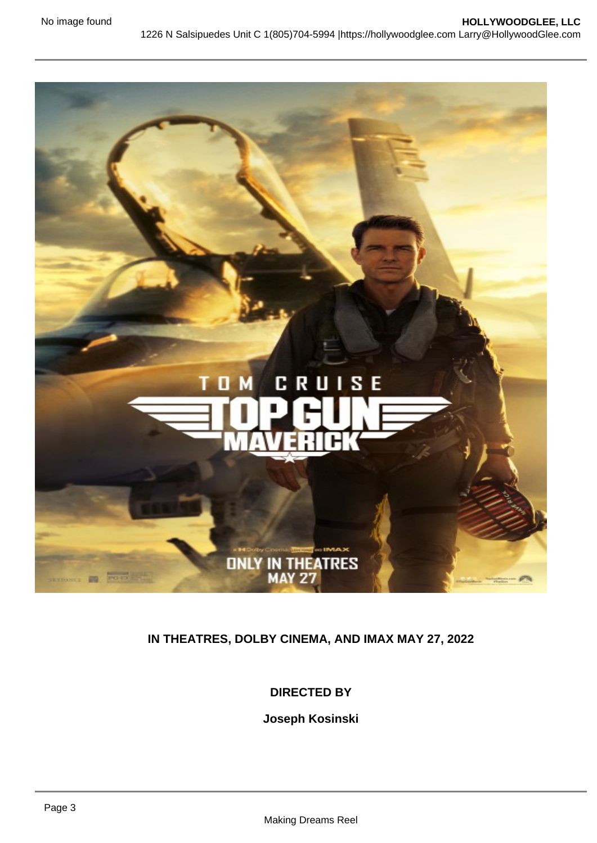# IN THEATRES, DOLBY CINEMA, AND IMAX MAY 27, 2022

#### DIRECTED BY

Joseph Kosinski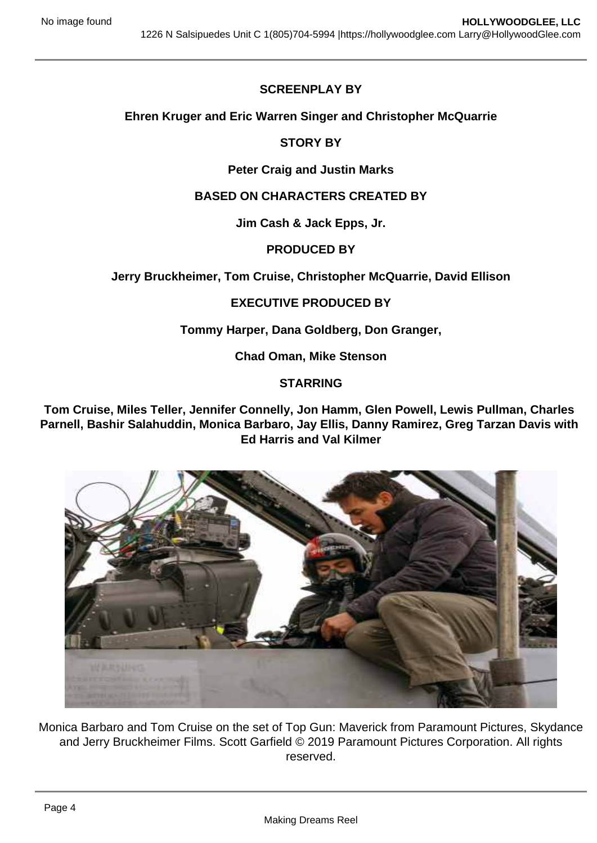## SCREENPLAY BY

Ehren Kruger and Eric Warren Singer and Christopher McQuarrie

#### STORY BY

#### Peter Craig and Justin Marks

#### BASED ON CHARACTERS CREATED BY

Jim Cash & Jack Epps, Jr.

#### PRODUCED BY

Jerry Bruckheimer, Tom Cruise, Christopher McQuarrie, David Ellison

#### EXECUTIVE PRODUCED BY

Tommy Harper, Dana Goldberg, Don Granger,

Chad Oman, Mike Stenson

#### **STARRING**

Tom Cruise, Miles Teller, Jennifer Connelly, Jon Hamm, Glen Powell, Lewis Pullman, Charles Parnell, Bashir Salahuddin, Monica Barbaro, Jay Ellis, Danny Ramirez, Greg Tarzan Davis with Ed Harris and Val Kilmer

Monica Barbaro and Tom Cruise on the set of Top Gun: Maverick from Paramount Pictures, Skydance and Jerry Bruckheimer Films. Scott Garfield © 2019 Paramount Pictures Corporation. All rights reserved.